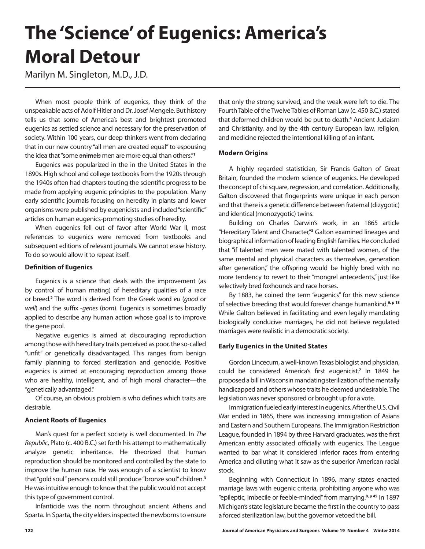# **The 'Science' of Eugenics: America's Moral Detour**

Marilyn M. Singleton, M.D., J.D.

When most people think of eugenics, they think of the unspeakable acts of Adolf Hitler and Dr. Josef Mengele. But history tells us that some of America's best and brightest promoted eugenics as settled science and necessary for the preservation of society. Within 100 years, our deep thinkers went from declaring that in our new country "all men are created equal" to espousing the idea that "some animals men are more equal than others."**<sup>1</sup>**

Eugenics was popularized in the in the United States in the 1890s. High school and college textbooks from the 1920s through the 1940s often had chapters touting the scientific progress to be made from applying eugenic principles to the population. Many early scientific journals focusing on heredity in plants and lower organisms were published by eugenicists and included "scientific" articles on human eugenics-promoting studies of heredity.

When eugenics fell out of favor after World War II, most references to eugenics were removed from textbooks and subsequent editions of relevant journals. We cannot erase history. To do so would allow it to repeat itself.

# **Definition of Eugenics**

Eugenics is a science that deals with the improvement (as by control of human mating) of hereditary qualities of a race or breed.**<sup>2</sup>** The word is derived from the Greek word *eu* (*good* or *well*) and the suffix *-genes* (*born*). Eugenics is sometimes broadly applied to describe any human action whose goal is to improve the gene pool.

Negative eugenics is aimed at discouraging reproduction among those with hereditary traits perceived as poor, the so-called "unfit" or genetically disadvantaged. This ranges from benign family planning to forced sterilization and genocide. Positive eugenics is aimed at encouraging reproduction among those who are healthy, intelligent, and of high moral character—the "genetically advantaged."

Of course, an obvious problem is who defines which traits are desirable.

# **Ancient Roots of Eugenics**

Man's quest for a perfect society is well documented. In *The Republic*, Plato (c. 400 B.C.) set forth his attempt to mathematically analyze genetic inheritance. He theorized that human reproduction should be monitored and controlled by the state to improve the human race. He was enough of a scientist to know that "gold soul" persons could still produce "bronze soul" children.**<sup>3</sup>** He was intuitive enough to know that the public would not accept this type of government control.

Infanticide was the norm throughout ancient Athens and Sparta. In Sparta, the city elders inspected the newborns to ensure

that only the strong survived, and the weak were left to die. The Fourth Table of the Twelve Tables of Roman Law (c. 450 B.C.) stated that deformed children would be put to death.**<sup>4</sup>** Ancient Judaism and Christianity, and by the 4th century European law, religion, and medicine rejected the intentional killing of an infant.

## **Modern Origins**

A highly regarded statistician, Sir Francis Galton of Great Britain, founded the modern science of eugenics. He developed the concept of chi square, regression, and correlation. Additionally, Galton discovered that fingerprints were unique in each person and that there is a genetic difference between fraternal (dizygotic) and identical (monozygotic) twins.

Building on Charles Darwin's work, in an 1865 article "Hereditary Talent and Character,"**<sup>5</sup>** Galton examined lineages and biographical information of leading English families. He concluded that "if talented men were mated with talented women, of the same mental and physical characters as themselves, generation after generation," the offspring would be highly bred with no more tendency to revert to their "mongrel antecedents," just like selectively bred foxhounds and race horses.

By 1883, he coined the term "eugenics" for this new science of selective breeding that would forever change humankind.**6, p 18**  While Galton believed in facilitating and even legally mandating biologically conducive marriages, he did not believe regulated marriages were realistic in a democratic society.

## **Early Eugenics in the United States**

Gordon Lincecum, a well-known Texas biologist and physician, could be considered America's first eugenicist.**<sup>7</sup>** In 1849 he proposed a bill in Wisconsin mandating sterilization of the mentally handicapped and others whose traits he deemed undesirable. The legislation was never sponsored or brought up for a vote.

Immigration fueled early interest in eugenics. After the U.S. Civil War ended in 1865, there was increasing immigration of Asians and Eastern and Southern Europeans. The Immigration Restriction League, founded in 1894 by three Harvard graduates, was the first American entity associated officially with eugenics. The League wanted to bar what it considered inferior races from entering America and diluting what it saw as the superior American racial stock.

Beginning with Connecticut in 1896, many states enacted marriage laws with eugenic criteria, prohibiting anyone who was "epileptic, imbecile or feeble-minded" from marrying.**8, p 45** In 1897 Michigan's state legislature became the first in the country to pass a forced sterilization law, but the governor vetoed the bill.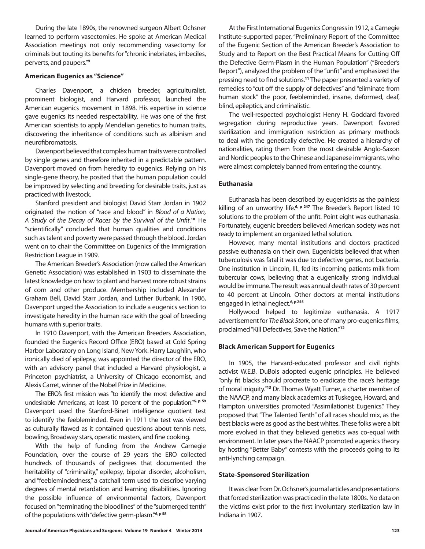During the late 1890s, the renowned surgeon Albert Ochsner learned to perform vasectomies. He spoke at American Medical Association meetings not only recommending vasectomy for criminals but touting its benefits for "chronic inebriates, imbeciles, perverts, and paupers."**<sup>9</sup>**

### **American Eugenics as "Science"**

Charles Davenport, a chicken breeder, agriculturalist, prominent biologist, and Harvard professor, launched the American eugenics movement in 1898. His expertise in science gave eugenics its needed respectability. He was one of the first American scientists to apply Mendelian genetics to human traits, discovering the inheritance of conditions such as albinism and neurofibromatosis.

Davenport believed that complex human traits were controlled by single genes and therefore inherited in a predictable pattern. Davenport moved on from heredity to eugenics. Relying on his single-gene theory, he posited that the human population could be improved by selecting and breeding for desirable traits, just as practiced with livestock.

Stanford president and biologist David Starr Jordan in 1902 originated the notion of "race and blood" in *Blood of a Nation, A Study of the Decay of Races by the Survival of the Unfit*. **<sup>10</sup>** He "scientifically" concluded that human qualities and conditions such as talent and poverty were passed through the blood. Jordan went on to chair the Committee on Eugenics of the Immigration Restriction League in 1909.

The American Breeder's Association (now called the American Genetic Association) was established in 1903 to disseminate the latest knowledge on how to plant and harvest more robust strains of corn and other produce. Membership included Alexander Graham Bell, David Starr Jordan, and Luther Burbank. In 1906, Davenport urged the Association to include a eugenics section to investigate heredity in the human race with the goal of breeding humans with superior traits.

In 1910 Davenport, with the American Breeders Association, founded the Eugenics Record Office (ERO) based at Cold Spring Harbor Laboratory on Long Island, New York. Harry Laughlin, who ironically died of epilepsy, was appointed the director of the ERO, with an advisory panel that included a Harvard physiologist, a Princeton psychiatrist, a University of Chicago economist, and Alexis Carret, winner of the Nobel Prize in Medicine.

The ERO's first mission was "to identify the most defective and undesirable Americans, at least 10 percent of the population."**6, p 59** Davenport used the Stanford-Binet intelligence quotient test to identify the feebleminded. Even in 1911 the test was viewed as culturally flawed as it contained questions about tennis nets, bowling, Broadway stars, operatic masters, and fine cooking.

With the help of funding from the Andrew Carnegie Foundation, over the course of 29 years the ERO collected hundreds of thousands of pedigrees that documented the heritability of "criminality," epilepsy, bipolar disorder, alcoholism, and "feeblemindedness," a catchall term used to describe varying degrees of mental retardation and learning disabilities. Ignoring the possible influence of environmental factors, Davenport focused on "terminating the bloodlines" of the "submerged tenth" of the populations with "defective germ-plasm."**6, p 58**

At the First International Eugenics Congress in 1912, a Carnegie Institute-supported paper, "Preliminary Report of the Committee of the Eugenic Section of the American Breeder's Association to Study and to Report on the Best Practical Means for Cutting Off the Defective Germ-Plasm in the Human Population" ("Breeder's Report"), analyzed the problem of the "unfit" and emphasized the pressing need to find solutions.**<sup>11</sup>** The paper presented a variety of remedies to "cut off the supply of defectives" and "eliminate from human stock" the poor, feebleminded, insane, deformed, deaf, blind, epileptics, and criminalistic.

The well-respected psychologist Henry H. Goddard favored segregation during reproductive years. Davenport favored sterilization and immigration restriction as primary methods to deal with the genetically defective. He created a hierarchy of nationalities, rating them from the most desirable Anglo-Saxon and Nordic peoples to the Chinese and Japanese immigrants, who were almost completely banned from entering the country.

## **Euthanasia**

Euthanasia has been described by eugenicists as the painless killing of an unworthy life.**6, p 247** The Breeder's Report listed 10 solutions to the problem of the unfit. Point eight was euthanasia. Fortunately, eugenic breeders believed American society was not ready to implement an organized lethal solution.

However, many mental institutions and doctors practiced passive euthanasia on their own. Eugenicists believed that when tuberculosis was fatal it was due to defective genes, not bacteria. One institution in Lincoln, Ill., fed its incoming patients milk from tubercular cows, believing that a eugenically strong individual would be immune. The result was annual death rates of 30 percent to 40 percent at Lincoln. Other doctors at mental institutions engaged in lethal neglect.**6, p 255**

Hollywood helped to legitimize euthanasia. A 1917 advertisement for *The Black Stork*, one of many pro-eugenics films, proclaimed "Kill Defectives, Save the Nation."**<sup>12</sup>**

### **Black American Support for Eugenics**

In 1905, the Harvard-educated professor and civil rights activist W.E.B. DuBois adopted eugenic principles. He believed "only fit blacks should procreate to eradicate the race's heritage of moral iniquity."**<sup>13</sup>** Dr. Thomas Wyatt Turner, a charter member of the NAACP, and many black academics at Tuskegee, Howard, and Hampton universities promoted "Assimilationist Eugenics." They proposed that "The Talented Tenth" of all races should mix, as the best blacks were as good as the best whites. These folks were a bit more evolved in that they believed genetics was co-equal with environment. In later years the NAACP promoted eugenics theory by hosting "Better Baby" contests with the proceeds going to its anti-lynching campaign.

#### **State-Sponsored Sterilization**

It was clear from Dr. Ochsner's journal articles and presentations that forced sterilization was practiced in the late 1800s. No data on the victims exist prior to the first involuntary sterilization law in Indiana in 1907.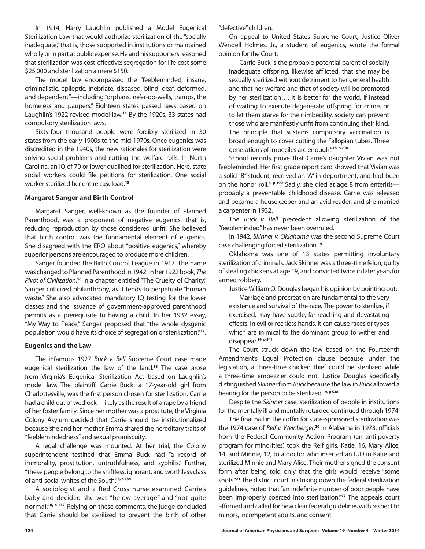In 1914, Harry Laughlin published a Model Eugenical Sterilization Law that would authorize sterilization of the "socially inadequate," that is, those supported in institutions or maintained wholly or in part at public expense. He and his supporters reasoned that sterilization was cost-effective: segregation for life cost some \$25,000 and sterilization a mere \$150.

The model law encompassed the "feebleminded, insane, criminalistic, epileptic, inebriate, diseased, blind, deaf, deformed, and dependent"—including "orphans, ne'er-do-wells, tramps, the homeless and paupers." Eighteen states passed laws based on Laughlin's 1922 revised model law.**<sup>14</sup>** By the 1920s, 33 states had compulsory sterilization laws.

Sixty-four thousand people were forcibly sterilized in 30 states from the early 1900s to the mid-1970s. Once eugenics was discredited in the 1940s, the new rationales for sterilization were solving social problems and cutting the welfare rolls. In North Carolina, an IQ of 70 or lower qualified for sterilization. Here, state social workers could file petitions for sterilization. One social worker sterilized her entire caseload.**<sup>15</sup>**

### **Margaret Sanger and Birth Control**

Margaret Sanger, well-known as the founder of Planned Parenthood, was a proponent of negative eugenics, that is, reducing reproduction by those considered unfit. She believed that birth control was the fundamental element of eugenics. She disagreed with the ERO about "positive eugenics," whereby superior persons are encouraged to produce more children.

Sanger founded the Birth Control League in 1917. The name was changed to Planned Parenthood in 1942. In her 1922 book, *The Pivot of Civilization*, **<sup>16</sup>** in a chapter entitled "The Cruelty of Charity," Sanger criticized philanthropy, as it tends to perpetuate "human waste." She also advocated mandatory IQ testing for the lower classes and the issuance of government-approved parenthood permits as a prerequisite to having a child. In her 1932 essay, "My Way to Peace," Sanger proposed that "the whole dysgenic population would have its choice of segregation or sterilization."**<sup>17</sup>**.

#### **Eugenics and the Law**

The infamous 1927 *Buck v. Bell* Supreme Court case made eugenical sterilization the law of the land.**<sup>18</sup>** The case arose from Virginia's Eugenical Sterilization Act based on Laughlin's model law. The plaintiff, Carrie Buck, a 17-year-old girl from Charlottesville, was the first person chosen for sterilization. Carrie had a child out of wedlock—likely as the result of a rape by a friend of her foster family. Since her mother was a prostitute, the Virginia Colony Asylum decided that Carrie should be institutionalized because she and her mother Emma shared the hereditary traits of "feeblemindedness" and sexual promiscuity.

A legal challenge was mounted. At her trial, the Colony superintendent testified that Emma Buck had "a record of immorality, prostitution, untruthfulness, and syphilis." Further, "these people belong to the shiftless, ignorant, and worthless class of anti-social whites of the South."**8, p 134**

A sociologist and a Red Cross nurse examined Carrie's baby and decided she was "below average" and "not quite normal."**8, p 117** Relying on these comments, the judge concluded that Carrie should be sterilized to prevent the birth of other "defective" children.

On appeal to United States Supreme Court, Justice Oliver Wendell Holmes, Jr., a student of eugenics, wrote the formal opinion for the Court:

Carrie Buck is the probable potential parent of socially inadequate offspring, likewise afflicted, that she may be sexually sterilized without detriment to her general health and that her welfare and that of society will be promoted by her sterilization…. It is better for the world, if instead of waiting to execute degenerate offspring for crime, or to let them starve for their imbecility, society can prevent those who are manifestly unfit from continuing their kind. The principle that sustains compulsory vaccination is broad enough to cover cutting the Fallopian tubes. Three generations of imbeciles are enough."**18, p 208**

School records prove that Carrie's daughter Vivian was not feebleminded. Her first grade report card showed that Vivian was a solid "B" student, received an "A" in deportment, and had been on the honor roll.**8, p 190** Sadly, she died at age 8 from enteritis probably a preventable childhood disease. Carrie was released and became a housekeeper and an avid reader, and she married a carpenter in 1932.

The *Buck v. Bell* precedent allowing sterilization of the "feebleminded" has never been overruled.

In 1942, *Skinner v. Oklahoma* was the second Supreme Court case challenging forced sterilization.**<sup>19</sup>**

Oklahoma was one of 13 states permitting involuntary sterilization of criminals. Jack Skinner was a three-time felon, guilty of stealing chickens at age 19, and convicted twice in later years for armed robbery.

Justice William O. Douglas began his opinion by pointing out:

Marriage and procreation are fundamental to the very existence and survival of the race. The power to sterilize, if exercised, may have subtle, far-reaching and devastating effects. In evil or reckless hands, it can cause races or types which are inimical to the dominant group to wither and disappear.**19, p 541**

The Court struck down the law based on the Fourteenth Amendment's Equal Protection clause because under the legislation, a three-time chicken thief could be sterilized while a three-time embezzler could not. Justice Douglas specifically distinguished *Skinner* from *Buck* because the law in *Buck* allowed a hearing for the person to be sterilized.**19, p 538**

Despite the *Skinner* case, sterilization of people in institutions for the mentally ill and mentally retarded continued through 1974.

The final nail in the coffin for state-sponsored sterilization was the 1974 case of *Relf v. Weinberger*. **<sup>20</sup>** In Alabama in 1973, officials from the Federal Community Action Program (an anti-poverty program for minorities) took the Relf girls, Katie, 16, Mary Alice, 14, and Minnie, 12, to a doctor who inserted an IUD in Katie and sterilized Minnie and Mary Alice. Their mother signed the consent form after being told only that the girls would receive "some shots."**<sup>21</sup>** The district court in striking down the federal sterilization guidelines, noted that "an indefinite number of poor people have been improperly coerced into sterilization."**<sup>22</sup>** The appeals court affirmed and called for new clear federal guidelines with respect to minors, incompetent adults, and consent.